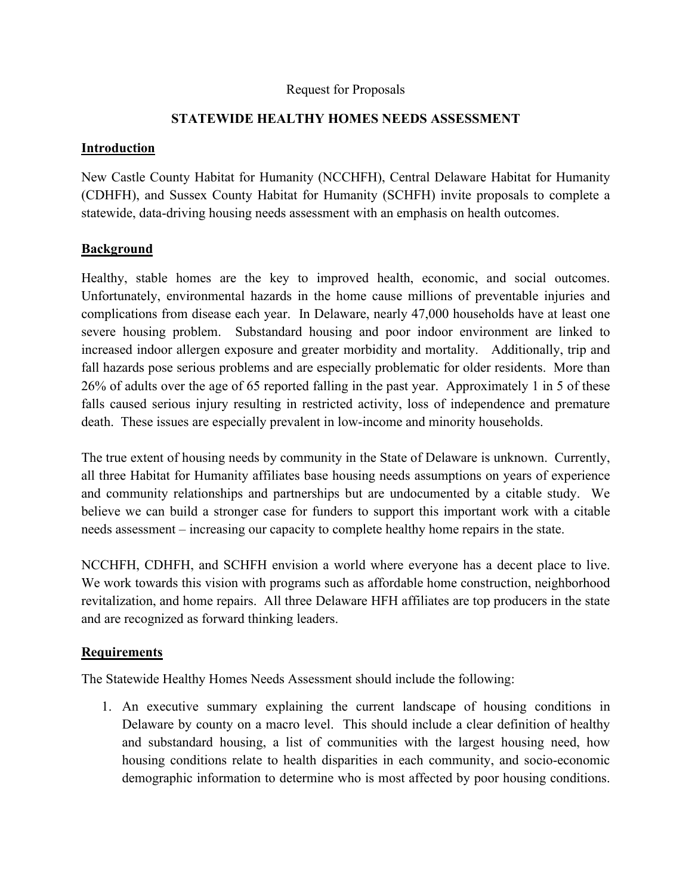#### Request for Proposals

### **STATEWIDE HEALTHY HOMES NEEDS ASSESSMENT**

#### **Introduction**

New Castle County Habitat for Humanity (NCCHFH), Central Delaware Habitat for Humanity (CDHFH), and Sussex County Habitat for Humanity (SCHFH) invite proposals to complete a statewide, data-driving housing needs assessment with an emphasis on health outcomes.

### **Background**

Healthy, stable homes are the key to improved health, economic, and social outcomes. Unfortunately, environmental hazards in the home cause millions of preventable injuries and complications from disease each year. In Delaware, nearly 47,000 households have at least one severe housing problem. Substandard housing and poor indoor environment are linked to increased indoor allergen exposure and greater morbidity and mortality. Additionally, trip and fall hazards pose serious problems and are especially problematic for older residents. More than 26% of adults over the age of 65 reported falling in the past year. Approximately 1 in 5 of these falls caused serious injury resulting in restricted activity, loss of independence and premature death. These issues are especially prevalent in low-income and minority households.

The true extent of housing needs by community in the State of Delaware is unknown. Currently, all three Habitat for Humanity affiliates base housing needs assumptions on years of experience and community relationships and partnerships but are undocumented by a citable study. We believe we can build a stronger case for funders to support this important work with a citable needs assessment – increasing our capacity to complete healthy home repairs in the state.

NCCHFH, CDHFH, and SCHFH envision a world where everyone has a decent place to live. We work towards this vision with programs such as affordable home construction, neighborhood revitalization, and home repairs. All three Delaware HFH affiliates are top producers in the state and are recognized as forward thinking leaders.

## **Requirements**

The Statewide Healthy Homes Needs Assessment should include the following:

1. An executive summary explaining the current landscape of housing conditions in Delaware by county on a macro level. This should include a clear definition of healthy and substandard housing, a list of communities with the largest housing need, how housing conditions relate to health disparities in each community, and socio-economic demographic information to determine who is most affected by poor housing conditions.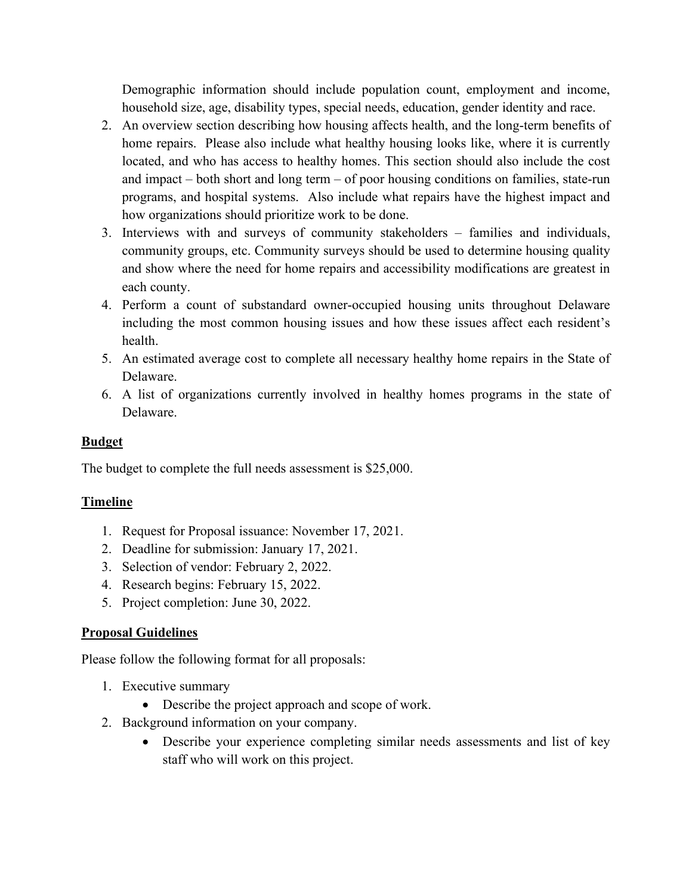Demographic information should include population count, employment and income, household size, age, disability types, special needs, education, gender identity and race.

- 2. An overview section describing how housing affects health, and the long-term benefits of home repairs. Please also include what healthy housing looks like, where it is currently located, and who has access to healthy homes. This section should also include the cost and impact – both short and long term – of poor housing conditions on families, state-run programs, and hospital systems. Also include what repairs have the highest impact and how organizations should prioritize work to be done.
- 3. Interviews with and surveys of community stakeholders families and individuals, community groups, etc. Community surveys should be used to determine housing quality and show where the need for home repairs and accessibility modifications are greatest in each county.
- 4. Perform a count of substandard owner-occupied housing units throughout Delaware including the most common housing issues and how these issues affect each resident's health.
- 5. An estimated average cost to complete all necessary healthy home repairs in the State of Delaware.
- 6. A list of organizations currently involved in healthy homes programs in the state of Delaware.

## **Budget**

The budget to complete the full needs assessment is \$25,000.

# **Timeline**

- 1. Request for Proposal issuance: November 17, 2021.
- 2. Deadline for submission: January 17, 2021.
- 3. Selection of vendor: February 2, 2022.
- 4. Research begins: February 15, 2022.
- 5. Project completion: June 30, 2022.

## **Proposal Guidelines**

Please follow the following format for all proposals:

- 1. Executive summary
	- Describe the project approach and scope of work.
- 2. Background information on your company.
	- Describe your experience completing similar needs assessments and list of key staff who will work on this project.